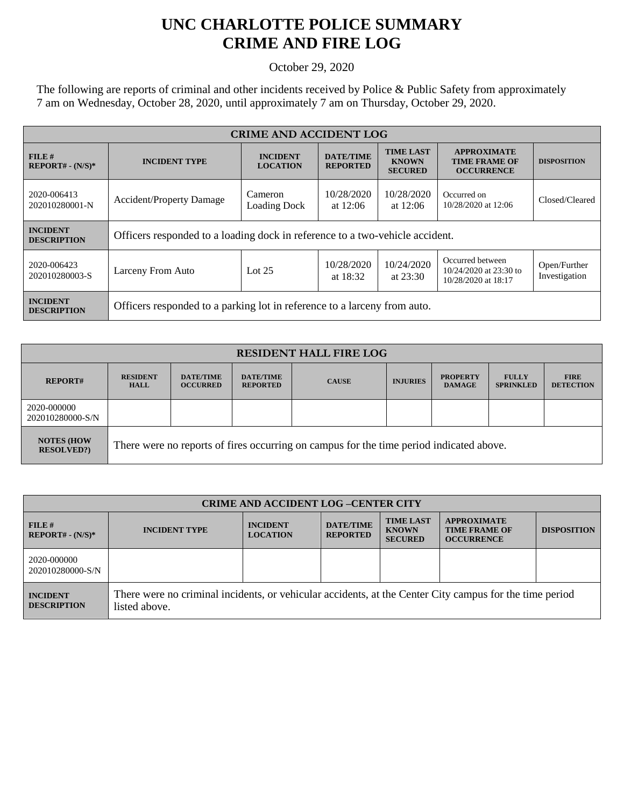## **UNC CHARLOTTE POLICE SUMMARY CRIME AND FIRE LOG**

October 29, 2020

The following are reports of criminal and other incidents received by Police & Public Safety from approximately 7 am on Wednesday, October 28, 2020, until approximately 7 am on Thursday, October 29, 2020.

| <b>CRIME AND ACCIDENT LOG</b>         |                                                                              |                                    |                                     |                                                    |                                                                   |                               |  |
|---------------------------------------|------------------------------------------------------------------------------|------------------------------------|-------------------------------------|----------------------------------------------------|-------------------------------------------------------------------|-------------------------------|--|
| $FILE$ #<br>$REPORT# - (N/S)*$        | <b>INCIDENT TYPE</b>                                                         | <b>INCIDENT</b><br><b>LOCATION</b> | <b>DATE/TIME</b><br><b>REPORTED</b> | <b>TIME LAST</b><br><b>KNOWN</b><br><b>SECURED</b> | <b>APPROXIMATE</b><br><b>TIME FRAME OF</b><br><b>OCCURRENCE</b>   | <b>DISPOSITION</b>            |  |
| 2020-006413<br>202010280001-N         | <b>Accident/Property Damage</b>                                              | Cameron<br><b>Loading Dock</b>     | 10/28/2020<br>at $12:06$            | 10/28/2020<br>at $12:06$                           | Occurred on<br>10/28/2020 at 12:06                                | Closed/Cleared                |  |
| <b>INCIDENT</b><br><b>DESCRIPTION</b> | Officers responded to a loading dock in reference to a two-vehicle accident. |                                    |                                     |                                                    |                                                                   |                               |  |
| 2020-006423<br>202010280003-S         | Larceny From Auto                                                            | Lot $25$                           | 10/28/2020<br>at $18:32$            | 10/24/2020<br>at $23:30$                           | Occurred between<br>10/24/2020 at 23:30 to<br>10/28/2020 at 18:17 | Open/Further<br>Investigation |  |
| <b>INCIDENT</b><br><b>DESCRIPTION</b> | Officers responded to a parking lot in reference to a larceny from auto.     |                                    |                                     |                                                    |                                                                   |                               |  |

| <b>RESIDENT HALL FIRE LOG</b>         |                                                                                         |                                     |                                     |              |                 |                                  |                                  |                                 |
|---------------------------------------|-----------------------------------------------------------------------------------------|-------------------------------------|-------------------------------------|--------------|-----------------|----------------------------------|----------------------------------|---------------------------------|
| <b>REPORT#</b>                        | <b>RESIDENT</b><br><b>HALL</b>                                                          | <b>DATE/TIME</b><br><b>OCCURRED</b> | <b>DATE/TIME</b><br><b>REPORTED</b> | <b>CAUSE</b> | <b>INJURIES</b> | <b>PROPERTY</b><br><b>DAMAGE</b> | <b>FULLY</b><br><b>SPRINKLED</b> | <b>FIRE</b><br><b>DETECTION</b> |
| 2020-000000<br>202010280000-S/N       |                                                                                         |                                     |                                     |              |                 |                                  |                                  |                                 |
| <b>NOTES (HOW</b><br><b>RESOLVED?</b> | There were no reports of fires occurring on campus for the time period indicated above. |                                     |                                     |              |                 |                                  |                                  |                                 |

| <b>CRIME AND ACCIDENT LOG-CENTER CITY</b> |                                                                                                                          |                                    |                                     |                                                    |                                                                 |                    |
|-------------------------------------------|--------------------------------------------------------------------------------------------------------------------------|------------------------------------|-------------------------------------|----------------------------------------------------|-----------------------------------------------------------------|--------------------|
| FILE#<br>$REPORT# - (N/S)*$               | <b>INCIDENT TYPE</b>                                                                                                     | <b>INCIDENT</b><br><b>LOCATION</b> | <b>DATE/TIME</b><br><b>REPORTED</b> | <b>TIME LAST</b><br><b>KNOWN</b><br><b>SECURED</b> | <b>APPROXIMATE</b><br><b>TIME FRAME OF</b><br><b>OCCURRENCE</b> | <b>DISPOSITION</b> |
| 2020-000000<br>202010280000-S/N           |                                                                                                                          |                                    |                                     |                                                    |                                                                 |                    |
| <b>INCIDENT</b><br><b>DESCRIPTION</b>     | There were no criminal incidents, or vehicular accidents, at the Center City campus for the time period<br>listed above. |                                    |                                     |                                                    |                                                                 |                    |